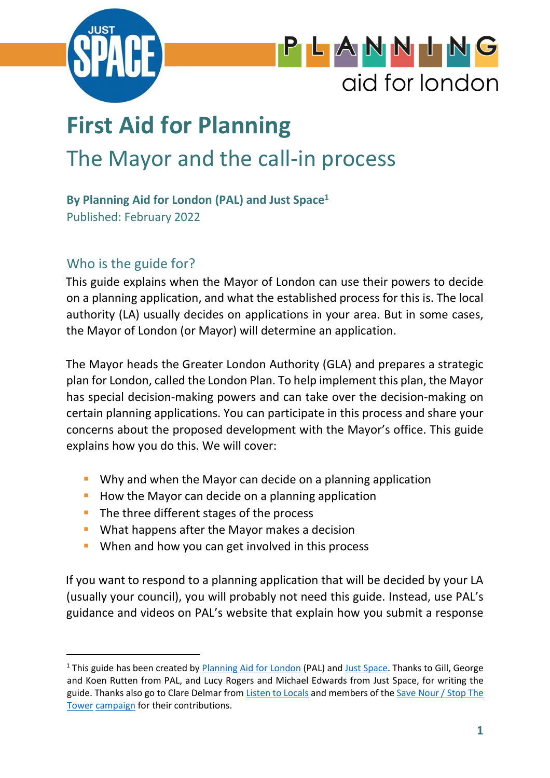

# PLANNIN aid for london

# **First Aid for Planning** The Mayor and the call-in process

# **By Planning Aid for London (PAL) and Just Space<sup>1</sup>**

Published: February 2022

# Who is the guide for?

This guide explains when the Mayor of London can use their powers to decide on a planning application, and what the established process for this is. The local authority (LA) usually decides on applications in your area. But in some cases, the Mayor of London (or Mayor) will determine an application.

The Mayor heads the Greater London Authority (GLA) and prepares a strategic plan for London, called the London Plan. To help implement this plan, the Mayor has special decision-making powers and can take over the decision-making on certain planning applications. You can participate in this process and share your concerns about the proposed development with the Mayor's office. This guide explains how you do this. We will cover:

- **Why and when the Mayor can decide on a planning application**
- **How the Mayor can decide on a planning application**
- The three different stages of the process
- **What happens after the Mayor makes a decision**
- **When and how you can get involved in this process**

If you want to respond to a planning application that will be decided by your LA (usually your council), you will probably not need this guide. Instead, use PAL's guidance and videos on PAL's website that explain how you submit a response

<sup>&</sup>lt;sup>1</sup> This guide has been created by **Planning Aid for London** (PAL) and Just Space. Thanks to Gill, George and Koen Rutten from PAL, and Lucy Rogers and Michael Edwards from Just Space, for writing the guide. Thanks also go to Clare Delmar from Listen to Locals and members of the Save Nour / Stop The Tower campaign for their contributions.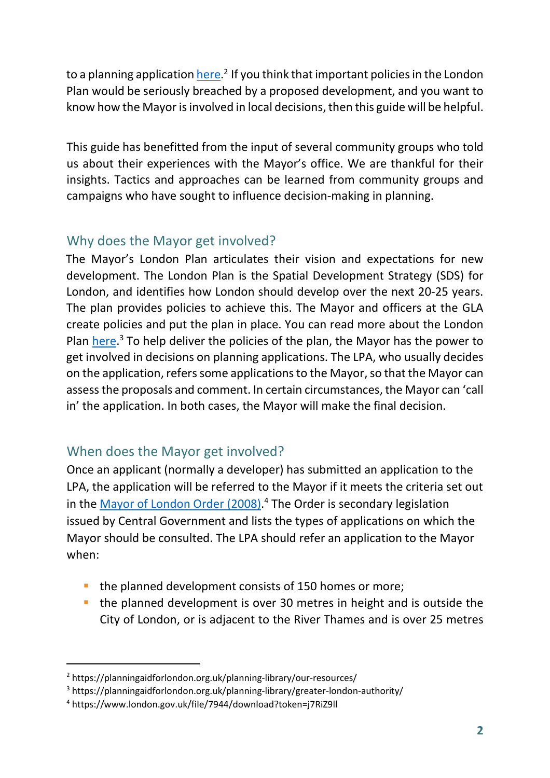to a planning application <u>here</u>.<sup>2</sup> If you think that important policies in the London Plan would be seriously breached by a proposed development, and you want to know how the Mayor is involved in local decisions, then this guide will be helpful.

This guide has benefitted from the input of several community groups who told us about their experiences with the Mayor's office. We are thankful for their insights. Tactics and approaches can be learned from community groups and campaigns who have sought to influence decision-making in planning.

# Why does the Mayor get involved?

The Mayor's London Plan articulates their vision and expectations for new development. The London Plan is the Spatial Development Strategy (SDS) for London, and identifies how London should develop over the next 20-25 years. The plan provides policies to achieve this. The Mayor and officers at the GLA create policies and put the plan in place. You can read more about the London Plan here.<sup>3</sup> To help deliver the policies of the plan, the Mayor has the power to get involved in decisions on planning applications. The LPA, who usually decides on the application, refers some applications to the Mayor, so that the Mayor can assess the proposals and comment. In certain circumstances, the Mayor can 'call in' the application. In both cases, the Mayor will make the final decision.

# When does the Mayor get involved?

Once an applicant (normally a developer) has submitted an application to the LPA, the application will be referred to the Mayor if it meets the criteria set out in the Mayor of London Order (2008).<sup>4</sup> The Order is secondary legislation issued by Central Government and lists the types of applications on which the Mayor should be consulted. The LPA should refer an application to the Mayor when:

- the planned development consists of 150 homes or more;
- **the planned development is over 30 metres in height and is outside the** City of London, or is adjacent to the River Thames and is over 25 metres

<sup>&</sup>lt;sup>2</sup> https://planningaidforlondon.org.uk/planning-library/our-resources/

<sup>&</sup>lt;sup>3</sup> https://planningaidforlondon.org.uk/planning-library/greater-london-authority/

<sup>4</sup> https://www.london.gov.uk/file/7944/download?token=j7RiZ9ll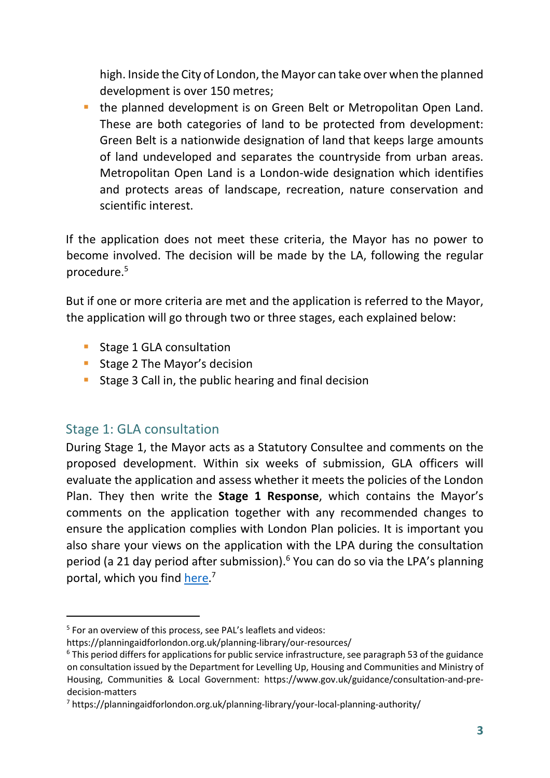high. Inside the City of London, the Mayor can take over when the planned development is over 150 metres;

**the planned development is on Green Belt or Metropolitan Open Land.** These are both categories of land to be protected from development: Green Belt is a nationwide designation of land that keeps large amounts of land undeveloped and separates the countryside from urban areas. Metropolitan Open Land is a London-wide designation which identifies and protects areas of landscape, recreation, nature conservation and scientific interest.

If the application does not meet these criteria, the Mayor has no power to become involved. The decision will be made by the LA, following the regular procedure.<sup>5</sup>

But if one or more criteria are met and the application is referred to the Mayor, the application will go through two or three stages, each explained below:

- **Stage 1 GLA consultation**
- **Stage 2 The Mayor's decision**
- **Stage 3 Call in, the public hearing and final decision**

## Stage 1: GLA consultation

During Stage 1, the Mayor acts as a Statutory Consultee and comments on the proposed development. Within six weeks of submission, GLA officers will evaluate the application and assess whether it meets the policies of the London Plan. They then write the **Stage 1 Response**, which contains the Mayor's comments on the application together with any recommended changes to ensure the application complies with London Plan policies. It is important you also share your views on the application with the LPA during the consultation period (a 21 day period after submission).<sup>6</sup> You can do so via the LPA's planning portal, which you find here.<sup>7</sup>

<sup>&</sup>lt;sup>5</sup> For an overview of this process, see PAL's leaflets and videos:

https://planningaidforlondon.org.uk/planning-library/our-resources/

<sup>&</sup>lt;sup>6</sup> This period differs for applications for public service infrastructure, see paragraph 53 of the guidance on consultation issued by the Department for Levelling Up, Housing and Communities and Ministry of Housing, Communities & Local Government: https://www.gov.uk/guidance/consultation-and-predecision-matters

<sup>&</sup>lt;sup>7</sup> https://planningaidforlondon.org.uk/planning-library/your-local-planning-authority/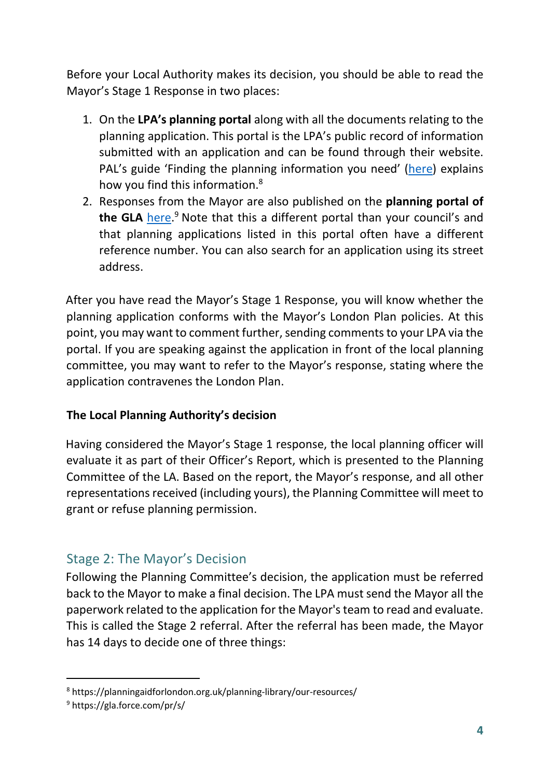Before your Local Authority makes its decision, you should be able to read the Mayor's Stage 1 Response in two places:

- 1. On the **LPA's planning portal** along with all the documents relating to the planning application. This portal is the LPA's public record of information submitted with an application and can be found through their website. PAL's guide 'Finding the planning information you need' (here) explains how you find this information.<sup>8</sup>
- 2. Responses from the Mayor are also published on the **planning portal of**  the GLA here.<sup>9</sup> Note that this a different portal than your council's and that planning applications listed in this portal often have a different reference number. You can also search for an application using its street address.

After you have read the Mayor's Stage 1 Response, you will know whether the planning application conforms with the Mayor's London Plan policies. At this point, you may want to comment further, sending comments to your LPA via the portal. If you are speaking against the application in front of the local planning committee, you may want to refer to the Mayor's response, stating where the application contravenes the London Plan.

#### **The Local Planning Authority's decision**

Having considered the Mayor's Stage 1 response, the local planning officer will evaluate it as part of their Officer's Report, which is presented to the Planning Committee of the LA. Based on the report, the Mayor's response, and all other representations received (including yours), the Planning Committee will meet to grant or refuse planning permission.

# Stage 2: The Mayor's Decision

Following the Planning Committee's decision, the application must be referred back to the Mayor to make a final decision. The LPA must send the Mayor all the paperwork related to the application for the Mayor's team to read and evaluate. This is called the Stage 2 referral. After the referral has been made, the Mayor has 14 days to decide one of three things:

<sup>8</sup> https://planningaidforlondon.org.uk/planning-library/our-resources/

<sup>9</sup> https://gla.force.com/pr/s/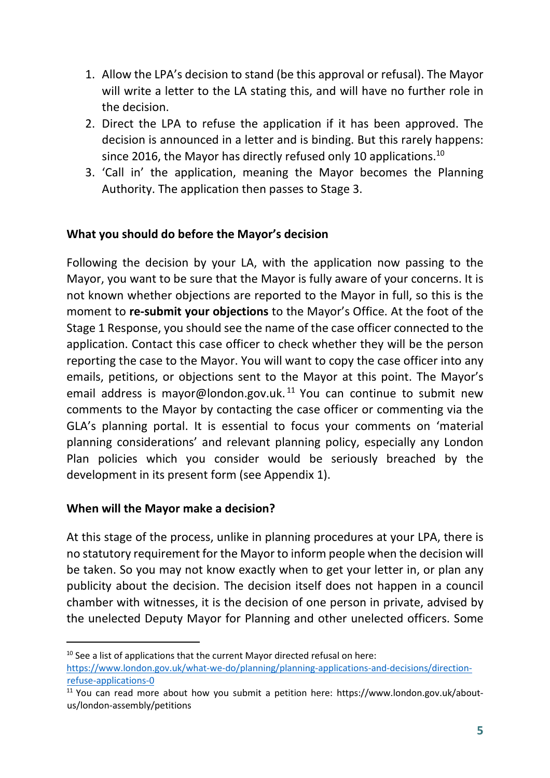- 1. Allow the LPA's decision to stand (be this approval or refusal). The Mayor will write a letter to the LA stating this, and will have no further role in the decision.
- 2. Direct the LPA to refuse the application if it has been approved. The decision is announced in a letter and is binding. But this rarely happens: since 2016, the Mayor has directly refused only 10 applications.<sup>10</sup>
- 3. 'Call in' the application, meaning the Mayor becomes the Planning Authority. The application then passes to Stage 3.

#### **What you should do before the Mayor's decision**

Following the decision by your LA, with the application now passing to the Mayor, you want to be sure that the Mayor is fully aware of your concerns. It is not known whether objections are reported to the Mayor in full, so this is the moment to **re-submit your objections** to the Mayor's Office. At the foot of the Stage 1 Response, you should see the name of the case officer connected to the application. Contact this case officer to check whether they will be the person reporting the case to the Mayor. You will want to copy the case officer into any emails, petitions, or objections sent to the Mayor at this point. The Mayor's email address is mayor@london.gov.uk.<sup>11</sup> You can continue to submit new comments to the Mayor by contacting the case officer or commenting via the GLA's planning portal. It is essential to focus your comments on 'material planning considerations' and relevant planning policy, especially any London Plan policies which you consider would be seriously breached by the development in its present form (see Appendix 1).

#### **When will the Mayor make a decision?**

At this stage of the process, unlike in planning procedures at your LPA, there is no statutory requirement for the Mayor to inform people when the decision will be taken. So you may not know exactly when to get your letter in, or plan any publicity about the decision. The decision itself does not happen in a council chamber with witnesses, it is the decision of one person in private, advised by the unelected Deputy Mayor for Planning and other unelected officers. Some

 $10$  See a list of applications that the current Mayor directed refusal on here: https://www.london.gov.uk/what-we-do/planning/planning-applications-and-decisions/directionrefuse-applications-0

 $11$  You can read more about how you submit a petition here: https://www.london.gov.uk/aboutus/london-assembly/petitions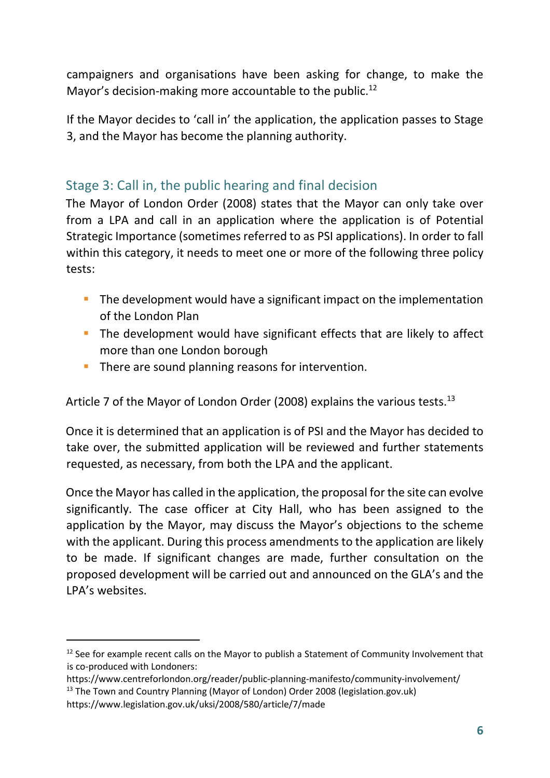campaigners and organisations have been asking for change, to make the Mayor's decision-making more accountable to the public.<sup>12</sup>

If the Mayor decides to 'call in' the application, the application passes to Stage 3, and the Mayor has become the planning authority.

# Stage 3: Call in, the public hearing and final decision

The Mayor of London Order (2008) states that the Mayor can only take over from a LPA and call in an application where the application is of Potential Strategic Importance (sometimes referred to as PSI applications). In order to fall within this category, it needs to meet one or more of the following three policy tests:

- The development would have a significant impact on the implementation of the London Plan
- The development would have significant effects that are likely to affect more than one London borough
- **There are sound planning reasons for intervention.**

Article 7 of the Mayor of London Order (2008) explains the various tests.<sup>13</sup>

Once it is determined that an application is of PSI and the Mayor has decided to take over, the submitted application will be reviewed and further statements requested, as necessary, from both the LPA and the applicant.

Once the Mayor has called in the application, the proposal for the site can evolve significantly. The case officer at City Hall, who has been assigned to the application by the Mayor, may discuss the Mayor's objections to the scheme with the applicant. During this process amendments to the application are likely to be made. If significant changes are made, further consultation on the proposed development will be carried out and announced on the GLA's and the LPA's websites.

<sup>&</sup>lt;sup>12</sup> See for example recent calls on the Mayor to publish a Statement of Community Involvement that is co-produced with Londoners:

https://www.centreforlondon.org/reader/public-planning-manifesto/community-involvement/ <sup>13</sup> The Town and Country Planning (Mayor of London) Order 2008 (legislation.gov.uk) https://www.legislation.gov.uk/uksi/2008/580/article/7/made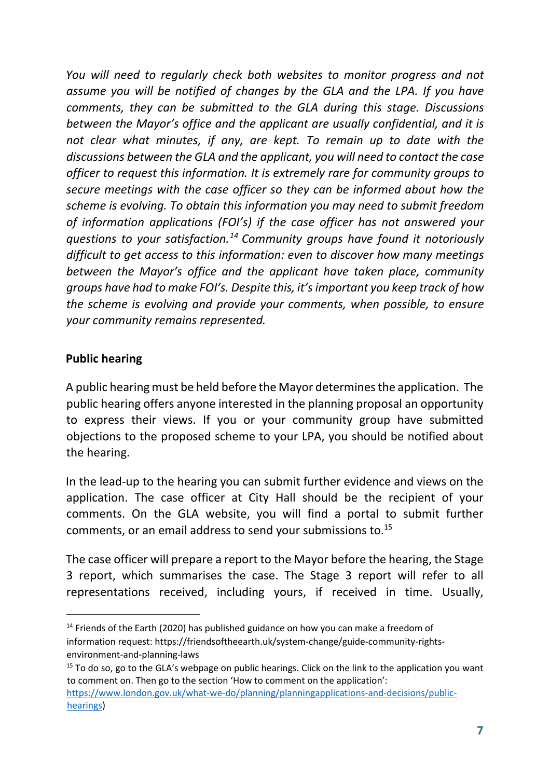*You will need to regularly check both websites to monitor progress and not assume you will be notified of changes by the GLA and the LPA. If you have comments, they can be submitted to the GLA during this stage. Discussions between the Mayor's office and the applicant are usually confidential, and it is not clear what minutes, if any, are kept. To remain up to date with the discussions between the GLA and the applicant, you will need to contact the case officer to request this information. It is extremely rare for community groups to secure meetings with the case officer so they can be informed about how the scheme is evolving. To obtain this information you may need to submit freedom of information applications (FOI's) if the case officer has not answered your questions to your satisfaction.<sup>14</sup> Community groups have found it notoriously difficult to get access to this information: even to discover how many meetings between the Mayor's office and the applicant have taken place, community groups have had to make FOI's. Despite this, it's important you keep track of how the scheme is evolving and provide your comments, when possible, to ensure your community remains represented.* 

#### **Public hearing**

A public hearing must be held before the Mayor determines the application. The public hearing offers anyone interested in the planning proposal an opportunity to express their views. If you or your community group have submitted objections to the proposed scheme to your LPA, you should be notified about the hearing.

In the lead-up to the hearing you can submit further evidence and views on the application. The case officer at City Hall should be the recipient of your comments. On the GLA website, you will find a portal to submit further comments, or an email address to send your submissions to.<sup>15</sup>

The case officer will prepare a report to the Mayor before the hearing, the Stage 3 report, which summarises the case. The Stage 3 report will refer to all representations received, including yours, if received in time. Usually,

 $14$  Friends of the Earth (2020) has published guidance on how you can make a freedom of information request: https://friendsoftheearth.uk/system-change/guide-community-rightsenvironment-and-planning-laws

<sup>&</sup>lt;sup>15</sup> To do so, go to the GLA's webpage on public hearings. Click on the link to the application you want to comment on. Then go to the section 'How to comment on the application': https://www.london.gov.uk/what-we-do/planning/planningapplications-and-decisions/publichearings)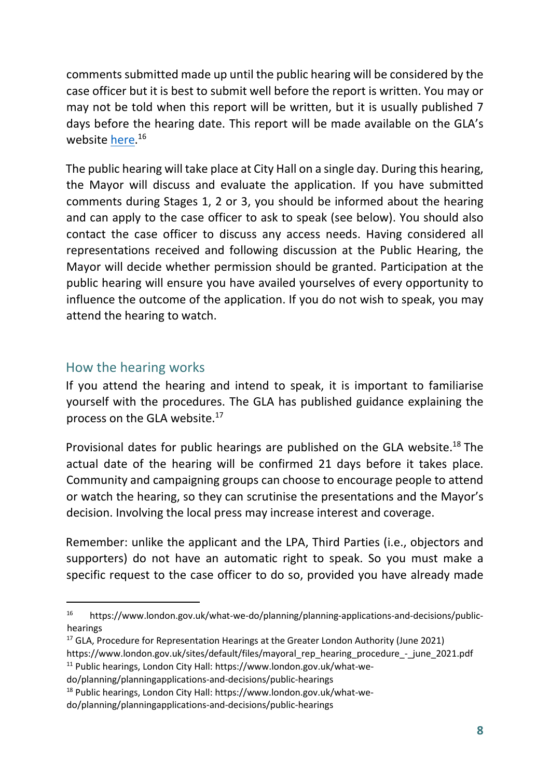comments submitted made up until the public hearing will be considered by the case officer but it is best to submit well before the report is written. You may or may not be told when this report will be written, but it is usually published 7 days before the hearing date. This report will be made available on the GLA's website here.<sup>16</sup>

The public hearing will take place at City Hall on a single day. During this hearing, the Mayor will discuss and evaluate the application. If you have submitted comments during Stages 1, 2 or 3, you should be informed about the hearing and can apply to the case officer to ask to speak (see below). You should also contact the case officer to discuss any access needs. Having considered all representations received and following discussion at the Public Hearing, the Mayor will decide whether permission should be granted. Participation at the public hearing will ensure you have availed yourselves of every opportunity to influence the outcome of the application. If you do not wish to speak, you may attend the hearing to watch.

#### How the hearing works

If you attend the hearing and intend to speak, it is important to familiarise yourself with the procedures. The GLA has published guidance explaining the process on the GLA website. $^{17}$ 

Provisional dates for public hearings are published on the GLA website.<sup>18</sup> The actual date of the hearing will be confirmed 21 days before it takes place. Community and campaigning groups can choose to encourage people to attend or watch the hearing, so they can scrutinise the presentations and the Mayor's decision. Involving the local press may increase interest and coverage.

Remember: unlike the applicant and the LPA, Third Parties (i.e., objectors and supporters) do not have an automatic right to speak. So you must make a specific request to the case officer to do so, provided you have already made

<sup>16</sup> https://www.london.gov.uk/what-we-do/planning/planning-applications-and-decisions/publichearings

<sup>&</sup>lt;sup>17</sup> GLA, Procedure for Representation Hearings at the Greater London Authority (June 2021) https://www.london.gov.uk/sites/default/files/mayoral\_rep\_hearing\_procedure\_-\_june\_2021.pdf 11 Public hearings, London City Hall: https://www.london.gov.uk/what-we-

do/planning/planningapplications-and-decisions/public-hearings

<sup>18</sup> Public hearings, London City Hall: https://www.london.gov.uk/what-we-

do/planning/planningapplications-and-decisions/public-hearings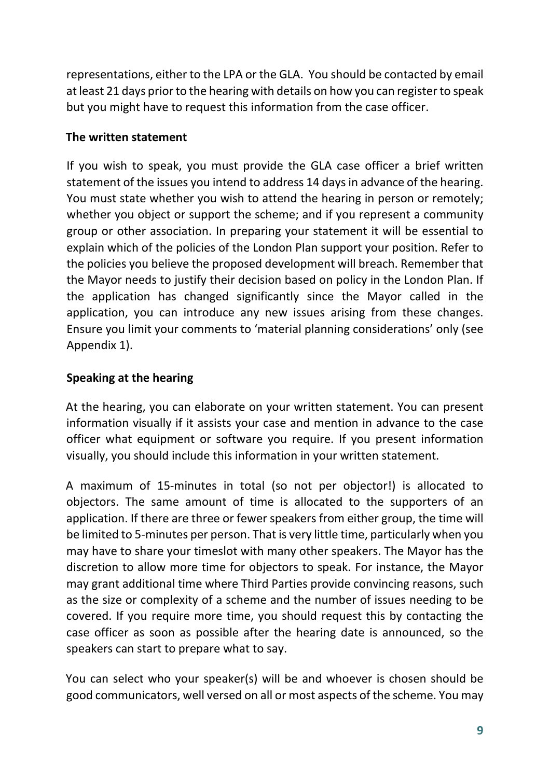representations, either to the LPA or the GLA. You should be contacted by email at least 21 days prior to the hearing with details on how you can register to speak but you might have to request this information from the case officer.

#### **The written statement**

If you wish to speak, you must provide the GLA case officer a brief written statement of the issues you intend to address 14 days in advance of the hearing. You must state whether you wish to attend the hearing in person or remotely; whether you object or support the scheme; and if you represent a community group or other association. In preparing your statement it will be essential to explain which of the policies of the London Plan support your position. Refer to the policies you believe the proposed development will breach. Remember that the Mayor needs to justify their decision based on policy in the London Plan. If the application has changed significantly since the Mayor called in the application, you can introduce any new issues arising from these changes. Ensure you limit your comments to 'material planning considerations' only (see Appendix 1).

#### **Speaking at the hearing**

At the hearing, you can elaborate on your written statement. You can present information visually if it assists your case and mention in advance to the case officer what equipment or software you require. If you present information visually, you should include this information in your written statement.

A maximum of 15-minutes in total (so not per objector!) is allocated to objectors. The same amount of time is allocated to the supporters of an application. If there are three or fewer speakers from either group, the time will be limited to 5-minutes per person. That is very little time, particularly when you may have to share your timeslot with many other speakers. The Mayor has the discretion to allow more time for objectors to speak. For instance, the Mayor may grant additional time where Third Parties provide convincing reasons, such as the size or complexity of a scheme and the number of issues needing to be covered. If you require more time, you should request this by contacting the case officer as soon as possible after the hearing date is announced, so the speakers can start to prepare what to say.

You can select who your speaker(s) will be and whoever is chosen should be good communicators, well versed on all or most aspects of the scheme. You may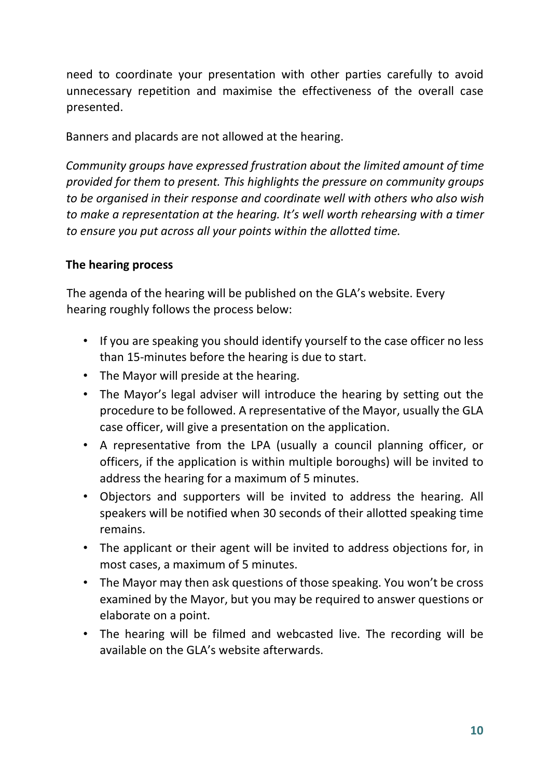need to coordinate your presentation with other parties carefully to avoid unnecessary repetition and maximise the effectiveness of the overall case presented.

Banners and placards are not allowed at the hearing.

*Community groups have expressed frustration about the limited amount of time provided for them to present. This highlights the pressure on community groups to be organised in their response and coordinate well with others who also wish to make a representation at the hearing. It's well worth rehearsing with a timer to ensure you put across all your points within the allotted time.* 

#### **The hearing process**

The agenda of the hearing will be published on the GLA's website. Every hearing roughly follows the process below:

- If you are speaking you should identify yourself to the case officer no less than 15-minutes before the hearing is due to start.
- The Mayor will preside at the hearing.
- The Mayor's legal adviser will introduce the hearing by setting out the procedure to be followed. A representative of the Mayor, usually the GLA case officer, will give a presentation on the application.
- A representative from the LPA (usually a council planning officer, or officers, if the application is within multiple boroughs) will be invited to address the hearing for a maximum of 5 minutes.
- Objectors and supporters will be invited to address the hearing. All speakers will be notified when 30 seconds of their allotted speaking time remains.
- The applicant or their agent will be invited to address objections for, in most cases, a maximum of 5 minutes.
- The Mayor may then ask questions of those speaking. You won't be cross examined by the Mayor, but you may be required to answer questions or elaborate on a point.
- The hearing will be filmed and webcasted live. The recording will be available on the GLA's website afterwards.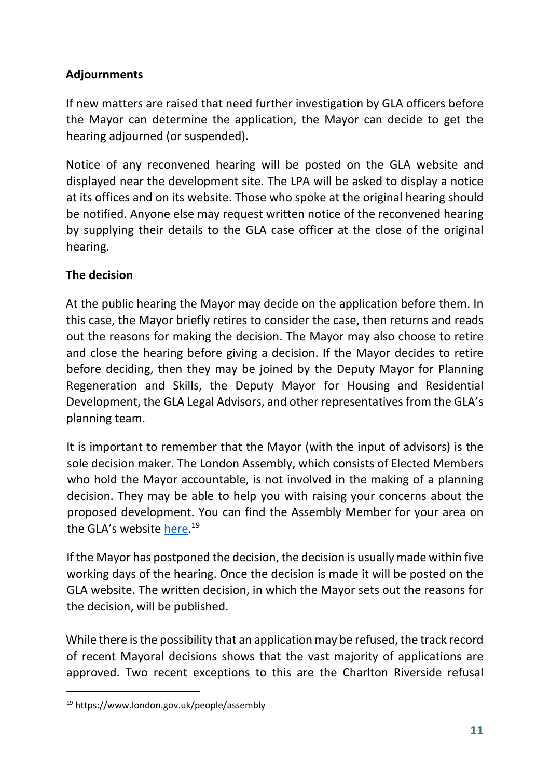## **Adjournments**

If new matters are raised that need further investigation by GLA officers before the Mayor can determine the application, the Mayor can decide to get the hearing adjourned (or suspended).

Notice of any reconvened hearing will be posted on the GLA website and displayed near the development site. The LPA will be asked to display a notice at its offices and on its website. Those who spoke at the original hearing should be notified. Anyone else may request written notice of the reconvened hearing by supplying their details to the GLA case officer at the close of the original hearing.

#### **The decision**

At the public hearing the Mayor may decide on the application before them. In this case, the Mayor briefly retires to consider the case, then returns and reads out the reasons for making the decision. The Mayor may also choose to retire and close the hearing before giving a decision. If the Mayor decides to retire before deciding, then they may be joined by the Deputy Mayor for Planning Regeneration and Skills, the Deputy Mayor for Housing and Residential Development, the GLA Legal Advisors, and other representatives from the GLA's planning team.

It is important to remember that the Mayor (with the input of advisors) is the sole decision maker. The London Assembly, which consists of Elected Members who hold the Mayor accountable, is not involved in the making of a planning decision. They may be able to help you with raising your concerns about the proposed development. You can find the Assembly Member for your area on the GLA's website here.<sup>19</sup>

If the Mayor has postponed the decision, the decision is usually made within five working days of the hearing. Once the decision is made it will be posted on the GLA website. The written decision, in which the Mayor sets out the reasons for the decision, will be published.

While there is the possibility that an application may be refused, the track record of recent Mayoral decisions shows that the vast majority of applications are approved. Two recent exceptions to this are the Charlton Riverside refusal

<sup>19</sup> https://www.london.gov.uk/people/assembly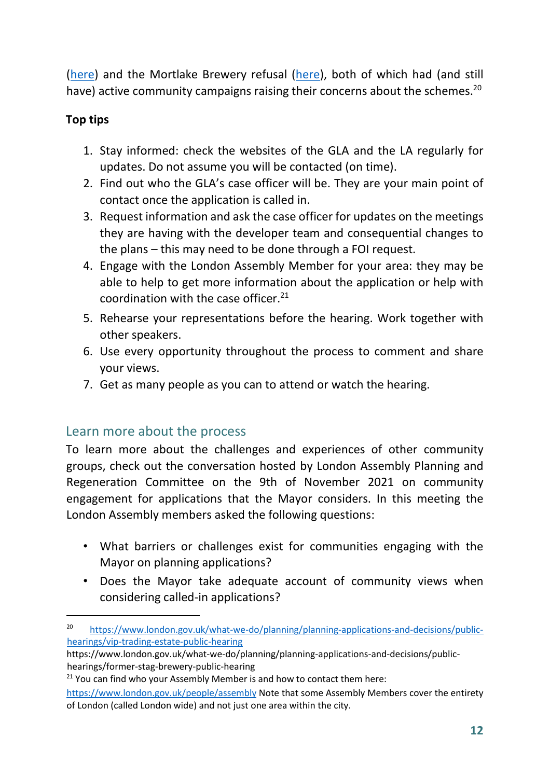(here) and the Mortlake Brewery refusal (here), both of which had (and still have) active community campaigns raising their concerns about the schemes.<sup>20</sup>

#### **Top tips**

- 1. Stay informed: check the websites of the GLA and the LA regularly for updates. Do not assume you will be contacted (on time).
- 2. Find out who the GLA's case officer will be. They are your main point of contact once the application is called in.
- 3. Request information and ask the case officer for updates on the meetings they are having with the developer team and consequential changes to the plans – this may need to be done through a FOI request.
- 4. Engage with the London Assembly Member for your area: they may be able to help to get more information about the application or help with coordination with the case officer. $21$
- 5. Rehearse your representations before the hearing. Work together with other speakers.
- 6. Use every opportunity throughout the process to comment and share your views.
- 7. Get as many people as you can to attend or watch the hearing.

## Learn more about the process

To learn more about the challenges and experiences of other community groups, check out the conversation hosted by London Assembly Planning and Regeneration Committee on the 9th of November 2021 on community engagement for applications that the Mayor considers. In this meeting the London Assembly members asked the following questions:

- What barriers or challenges exist for communities engaging with the Mayor on planning applications?
- Does the Mayor take adequate account of community views when considering called-in applications?

<sup>&</sup>lt;sup>20</sup> https://www.london.gov.uk/what-we-do/planning/planning-applications-and-decisions/publichearings/vip-trading-estate-public-hearing

https://www.london.gov.uk/what-we-do/planning/planning-applications-and-decisions/publichearings/former-stag-brewery-public-hearing

 $21$  You can find who your Assembly Member is and how to contact them here:

https://www.london.gov.uk/people/assembly Note that some Assembly Members cover the entirety of London (called London wide) and not just one area within the city.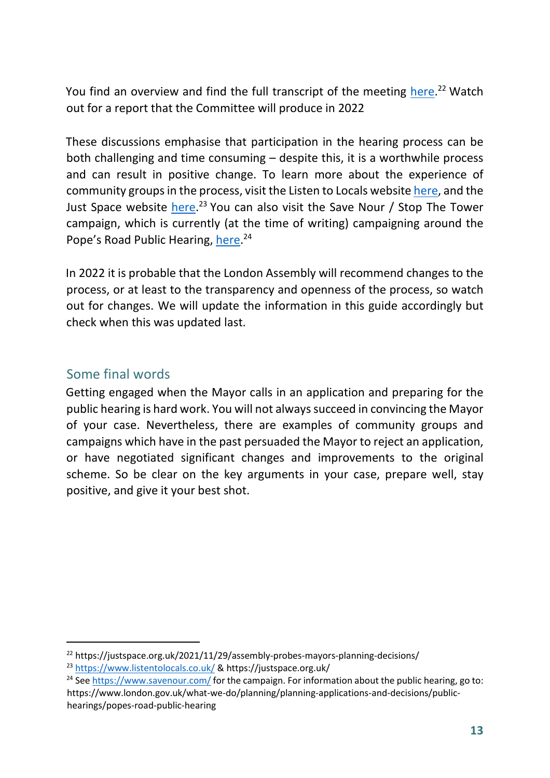You find an overview and find the full transcript of the meeting here.<sup>22</sup> Watch out for a report that the Committee will produce in 2022

These discussions emphasise that participation in the hearing process can be both challenging and time consuming – despite this, it is a worthwhile process and can result in positive change. To learn more about the experience of community groups in the process, visit the Listen to Locals website here, and the Just Space website here.<sup>23</sup> You can also visit the Save Nour / Stop The Tower campaign, which is currently (at the time of writing) campaigning around the Pope's Road Public Hearing, here.<sup>24</sup>

In 2022 it is probable that the London Assembly will recommend changes to the process, or at least to the transparency and openness of the process, so watch out for changes. We will update the information in this guide accordingly but check when this was updated last.

## Some final words

Getting engaged when the Mayor calls in an application and preparing for the public hearing is hard work. You will not always succeed in convincing the Mayor of your case. Nevertheless, there are examples of community groups and campaigns which have in the past persuaded the Mayor to reject an application, or have negotiated significant changes and improvements to the original scheme. So be clear on the key arguments in your case, prepare well, stay positive, and give it your best shot.

<sup>&</sup>lt;sup>22</sup> https://justspace.org.uk/2021/11/29/assembly-probes-mayors-planning-decisions/

<sup>23</sup> https://www.listentolocals.co.uk/ & https://justspace.org.uk/

<sup>&</sup>lt;sup>24</sup> See https://www.savenour.com/ for the campaign. For information about the public hearing, go to: https://www.london.gov.uk/what-we-do/planning/planning-applications-and-decisions/publichearings/popes-road-public-hearing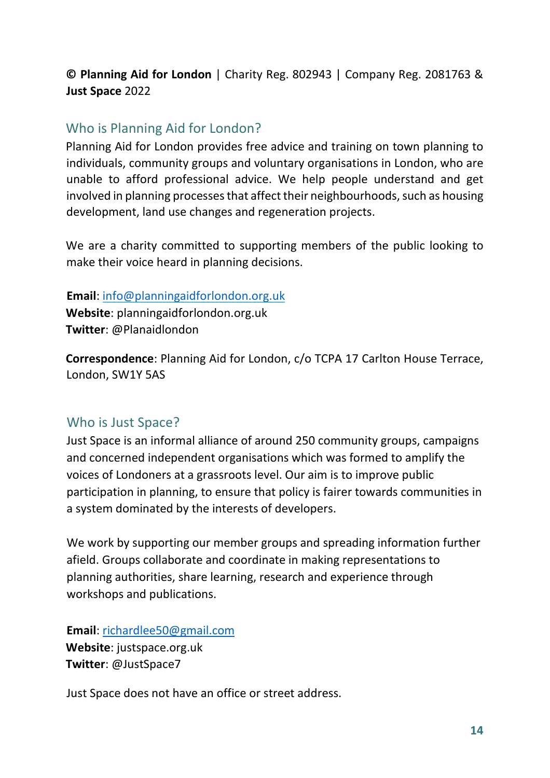#### **© Planning Aid for London** | Charity Reg. 802943 | Company Reg. 2081763 & **Just Space** 2022

#### Who is Planning Aid for London?

Planning Aid for London provides free advice and training on town planning to individuals, community groups and voluntary organisations in London, who are unable to afford professional advice. We help people understand and get involved in planning processes that affect their neighbourhoods, such as housing development, land use changes and regeneration projects.

We are a charity committed to supporting members of the public looking to make their voice heard in planning decisions.

#### **Email**: info@planningaidforlondon.org.uk

**Website**: planningaidforlondon.org.uk **Twitter**: @Planaidlondon

**Correspondence**: Planning Aid for London, c/o TCPA 17 Carlton House Terrace, London, SW1Y 5AS

## Who is Just Space?

Just Space is an informal alliance of around 250 community groups, campaigns and concerned independent organisations which was formed to amplify the voices of Londoners at a grassroots level. Our aim is to improve public participation in planning, to ensure that policy is fairer towards communities in a system dominated by the interests of developers.

We work by supporting our member groups and spreading information further afield. Groups collaborate and coordinate in making representations to planning authorities, share learning, research and experience through workshops and publications.

**Email**: richardlee50@gmail.com

**Website**: justspace.org.uk **Twitter**: @JustSpace7

Just Space does not have an office or street address.